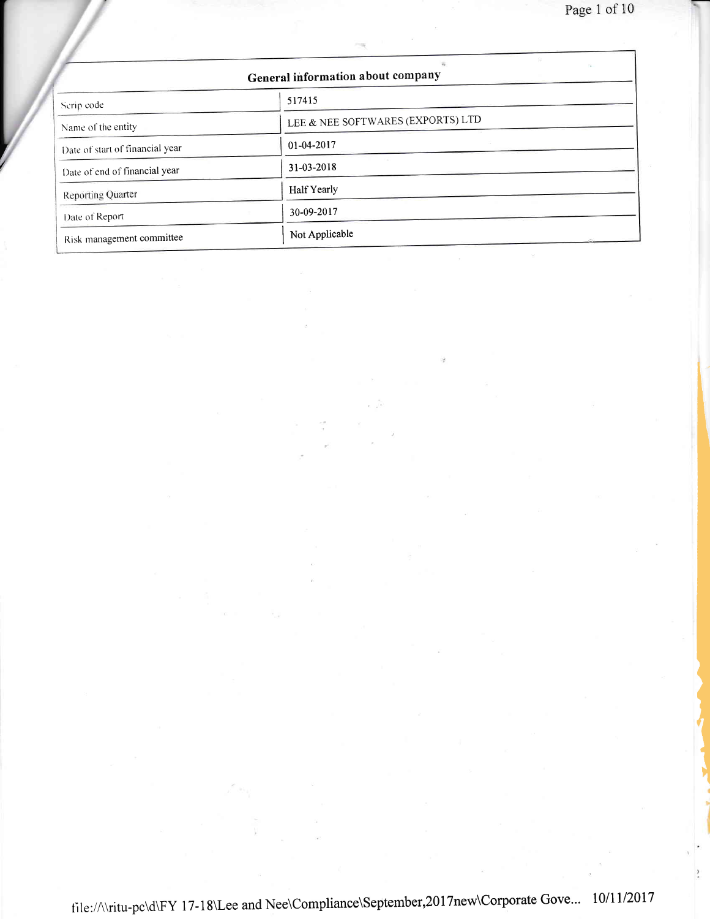Page 1 of 10

ì

| General information about company |                                   |  |
|-----------------------------------|-----------------------------------|--|
| Serip code                        | 517415                            |  |
| Name of the entity                | LEE & NEE SOFTWARES (EXPORTS) LTD |  |
| Date of start of financial year   | 01-04-2017                        |  |
| Date of end of financial year     | 31-03-2018                        |  |
| <b>Reporting Quarter</b>          | Half Yearly                       |  |
| Date of Report                    | 30-09-2017                        |  |
| Risk management committee         | Not Applicable                    |  |

/ /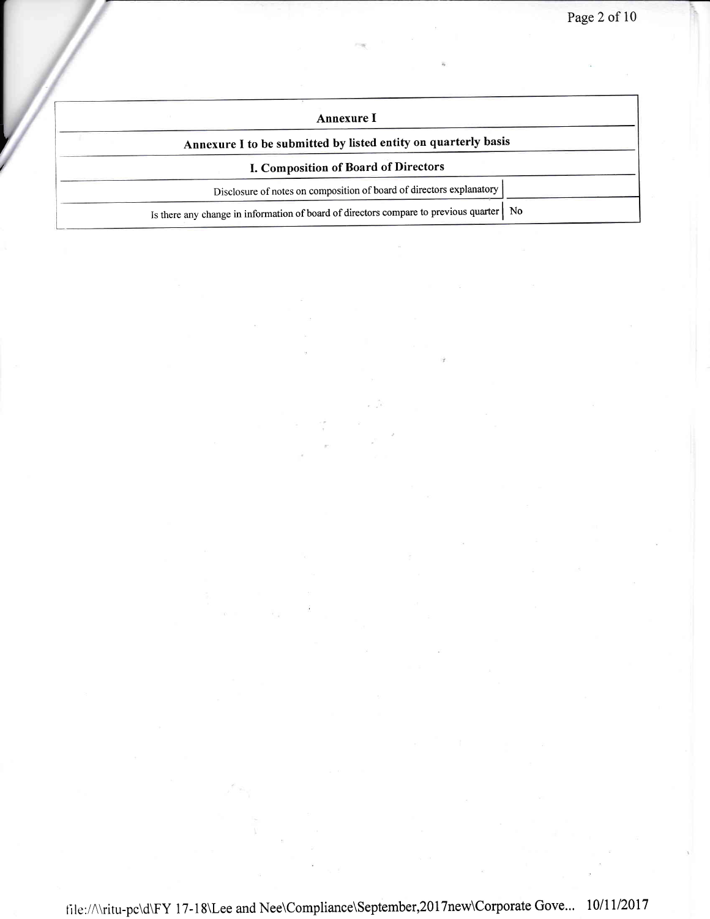| Annexure 1                                                                                |
|-------------------------------------------------------------------------------------------|
| Annexure I to be submitted by listed entity on quarterly basis                            |
| I. Composition of Board of Directors                                                      |
| Disclosure of notes on composition of board of directors explanatory                      |
| Is there any change in information of board of directors compare to previous quarter   No |

I /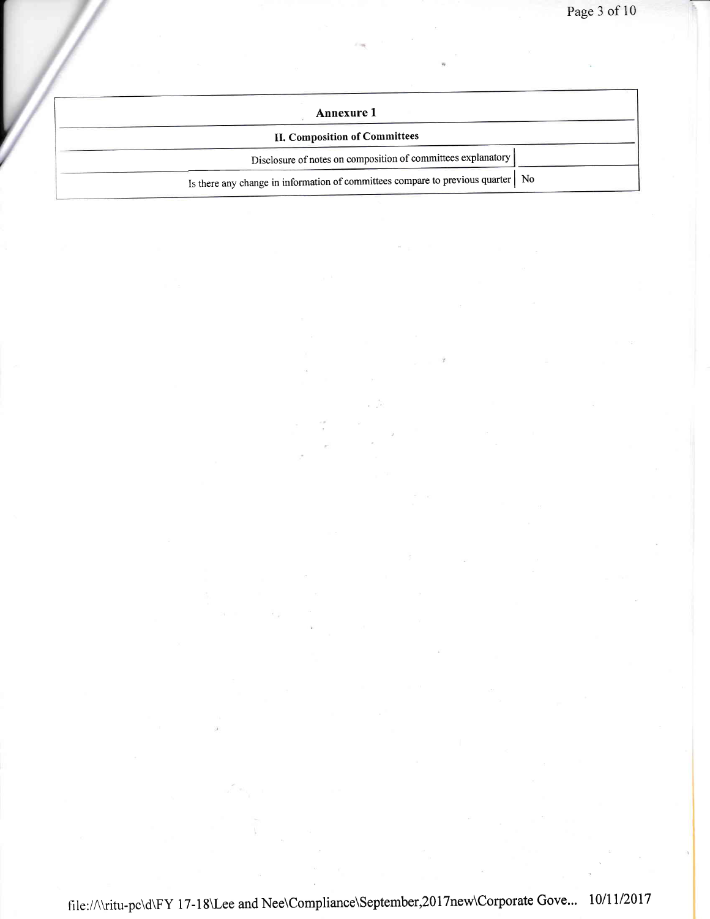| <b>Annexure 1</b>                                                                 |  |
|-----------------------------------------------------------------------------------|--|
| <b>II. Composition of Committees</b>                                              |  |
| Disclosure of notes on composition of committees explanatory                      |  |
| Is there any change in information of committees compare to previous quarter   No |  |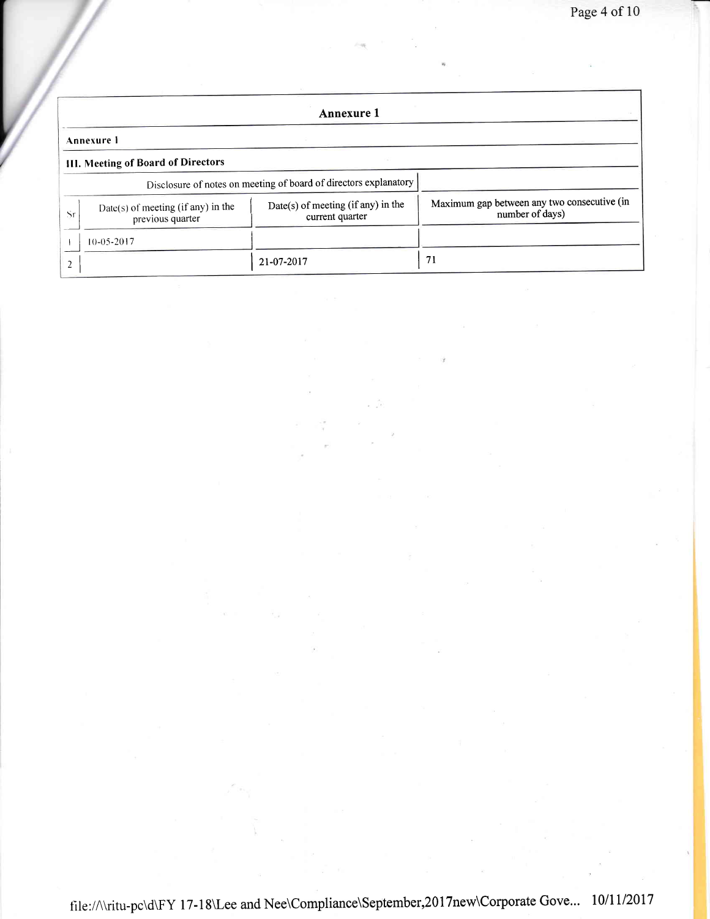|                                                                                                                                            | Annexure 1                         |                                                                  |                                             |  |  |
|--------------------------------------------------------------------------------------------------------------------------------------------|------------------------------------|------------------------------------------------------------------|---------------------------------------------|--|--|
|                                                                                                                                            | Annexure 1                         |                                                                  |                                             |  |  |
|                                                                                                                                            | III. Meeting of Board of Directors |                                                                  |                                             |  |  |
|                                                                                                                                            |                                    | Disclosure of notes on meeting of board of directors explanatory |                                             |  |  |
| Date(s) of meeting (if any) in the<br>$Date(s)$ of meeting (if any) in the<br>number of days)<br>Sr<br>current quarter<br>previous quarter |                                    |                                                                  | Maximum gap between any two consecutive (in |  |  |
|                                                                                                                                            | $10 - 05 - 2017$                   |                                                                  |                                             |  |  |
|                                                                                                                                            |                                    | 21-07-2017                                                       | 71                                          |  |  |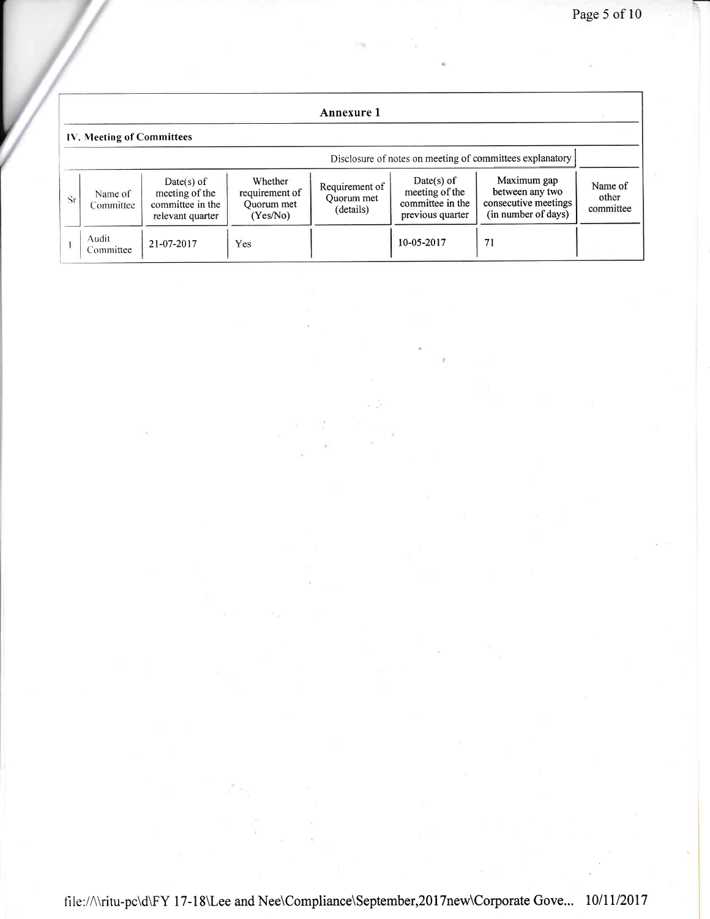|    | Annexure 1                                               |                                                                        |                                                     |                                           |                                                                      |                                                                               |                               |
|----|----------------------------------------------------------|------------------------------------------------------------------------|-----------------------------------------------------|-------------------------------------------|----------------------------------------------------------------------|-------------------------------------------------------------------------------|-------------------------------|
|    | IV. Meeting of Committees                                |                                                                        |                                                     |                                           |                                                                      |                                                                               |                               |
|    | Disclosure of notes on meeting of committees explanatory |                                                                        |                                                     |                                           |                                                                      |                                                                               |                               |
| Sr | Name of<br>Committee                                     | $Date(s)$ of<br>meeting of the<br>committee in the<br>relevant quarter | Whether<br>requirement of<br>Quorum met<br>(Yes/No) | Requirement of<br>Quorum met<br>(details) | Date(s) of<br>meeting of the<br>committee in the<br>previous quarter | Maximum gap<br>between any two<br>consecutive meetings<br>(in number of days) | Name of<br>other<br>committee |
|    | Audit<br>Committee                                       | 21-07-2017                                                             | Yes                                                 |                                           | 10-05-2017                                                           | 71                                                                            |                               |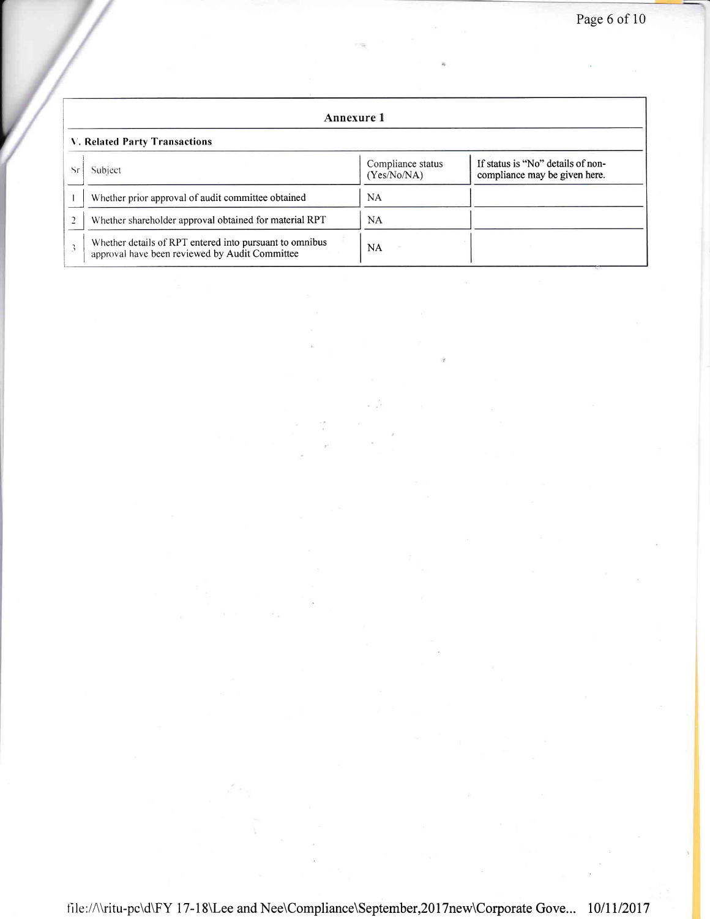|                                                                                                                   | Annexure 1                                                                                                |           |  |  |  |
|-------------------------------------------------------------------------------------------------------------------|-----------------------------------------------------------------------------------------------------------|-----------|--|--|--|
|                                                                                                                   | <b>V. Related Party Transactions</b>                                                                      |           |  |  |  |
| If status is "No" details of non-<br>Compliance status<br>Subject<br>(Yes/No/NA)<br>compliance may be given here. |                                                                                                           |           |  |  |  |
|                                                                                                                   | Whether prior approval of audit committee obtained                                                        | NA        |  |  |  |
|                                                                                                                   | Whether shareholder approval obtained for material RPT                                                    | <b>NA</b> |  |  |  |
|                                                                                                                   | Whether details of RPT entered into pursuant to omnibus<br>approval have been reviewed by Audit Committee | <b>NA</b> |  |  |  |

file://\\ritu-pc\d\FY 17-18\Lee and Nee\Compliance\September,2017new\Corporate Gove... 10/11/2017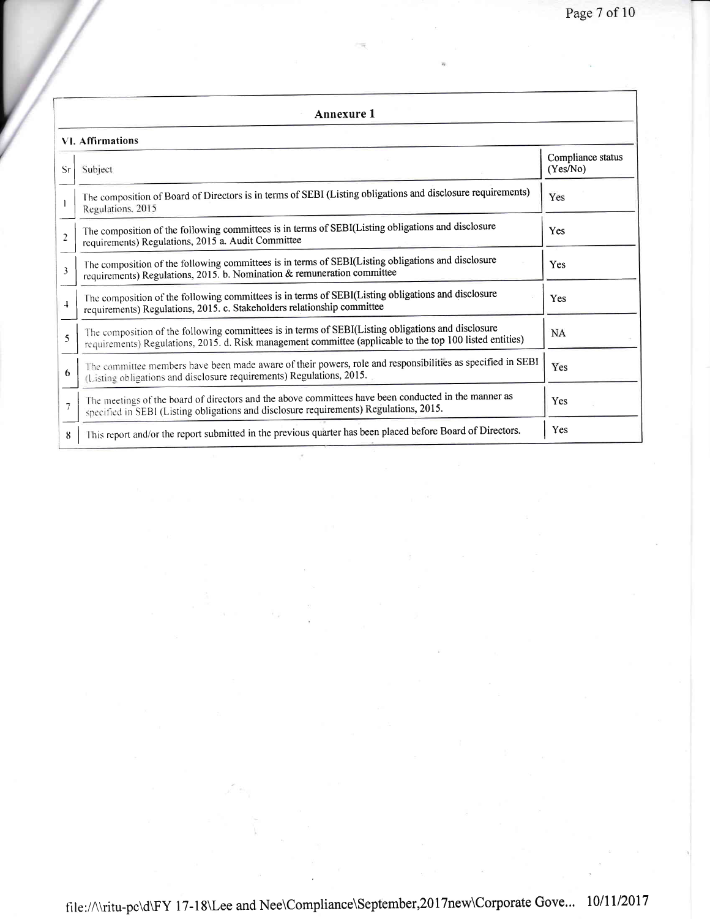|                | Annexure 1                                                                                                                                                                                                      |                               |  |  |  |
|----------------|-----------------------------------------------------------------------------------------------------------------------------------------------------------------------------------------------------------------|-------------------------------|--|--|--|
|                | <b>VI.</b> Affirmations                                                                                                                                                                                         |                               |  |  |  |
| Sr             | Subject                                                                                                                                                                                                         | Compliance status<br>(Yes/No) |  |  |  |
|                | The composition of Board of Directors is in terms of SEBI (Listing obligations and disclosure requirements)<br>Regulations, 2015                                                                                | Yes                           |  |  |  |
| $\overline{2}$ | The composition of the following committees is in terms of SEBI(Listing obligations and disclosure<br>requirements) Regulations, 2015 a. Audit Committee                                                        | Yes                           |  |  |  |
| 3              | The composition of the following committees is in terms of SEBI(Listing obligations and disclosure<br>requirements) Regulations, 2015. b. Nomination & remuneration committee                                   | Yes                           |  |  |  |
| $\overline{+}$ | The composition of the following committees is in terms of SEBI(Listing obligations and disclosure<br>requirements) Regulations, 2015. c. Stakeholders relationship committee                                   | Yes                           |  |  |  |
| 5              | The composition of the following committees is in terms of SEBI(Listing obligations and disclosure<br>requirements) Regulations, 2015. d. Risk management committee (applicable to the top 100 listed entities) | <b>NA</b>                     |  |  |  |
| 6              | The committee members have been made aware of their powers, role and responsibilities as specified in SEBI<br>(Listing obligations and disclosure requirements) Regulations, 2015.                              | Yes                           |  |  |  |
| $\overline{7}$ | The meetings of the board of directors and the above committees have been conducted in the manner as<br>specified in SEBI (Listing obligations and disclosure requirements) Regulations, 2015.                  | Yes                           |  |  |  |
| 8              | This report and/or the report submitted in the previous quarter has been placed before Board of Directors.                                                                                                      | Yes                           |  |  |  |

 $\tilde{\epsilon}$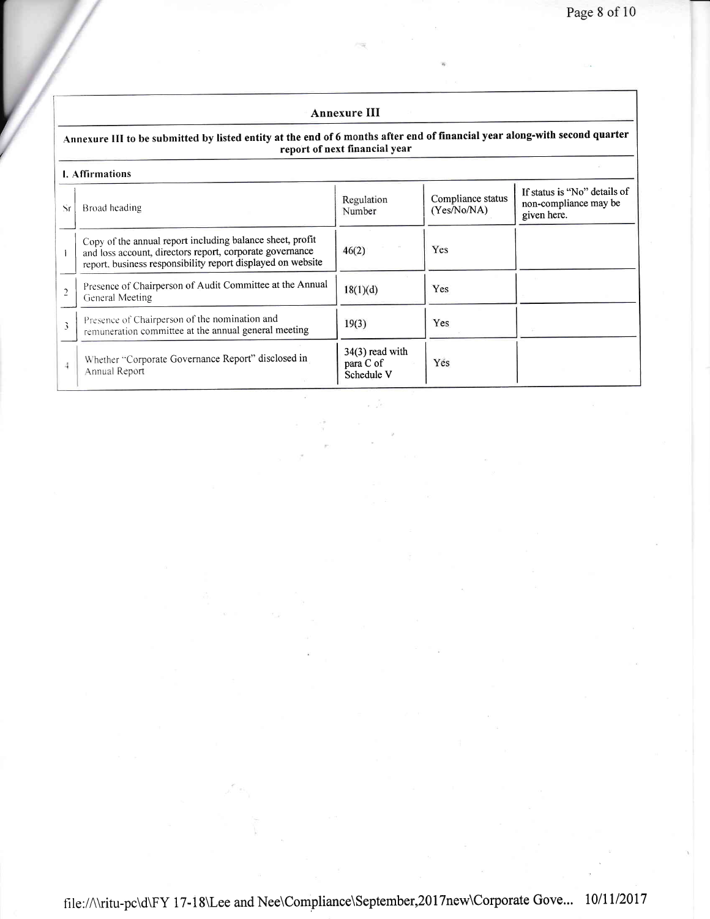## Annexure III

## Annexure III to be submitted by listed entity at the end of 6 months after end of financial year along-with second quarter report of next financial year

/

| <b>I.</b> Affirmations |                                                                                                                                                                                      |                                              |                                  |                                                                      |
|------------------------|--------------------------------------------------------------------------------------------------------------------------------------------------------------------------------------|----------------------------------------------|----------------------------------|----------------------------------------------------------------------|
| Sr                     | Broad heading                                                                                                                                                                        | Regulation<br>Number                         | Compliance status<br>(Yes/No/NA) | If status is "No" details of<br>non-compliance may be<br>given here. |
|                        | Copy of the annual report including balance sheet, profit<br>and loss account, directors report, corporate governance<br>report, business responsibility report displayed on website | 46(2)                                        | Yes                              |                                                                      |
| $\overline{2}$         | Presence of Chairperson of Audit Committee at the Annual<br>General Meeting                                                                                                          | 18(1)(d)                                     | Yes                              |                                                                      |
| 3                      | Presence of Chairperson of the nomination and<br>remuneration committee at the annual general meeting                                                                                | 19(3)                                        | Yes                              |                                                                      |
| $\overline{4}$         | Whether "Corporate Governance Report" disclosed in<br>Annual Report                                                                                                                  | $34(3)$ read with<br>para C of<br>Schedule V | Yes                              |                                                                      |